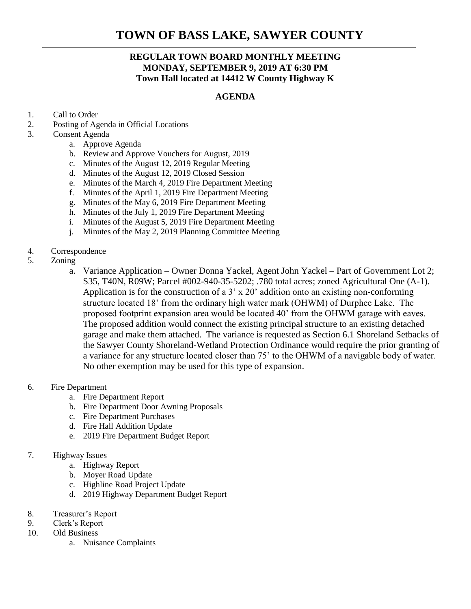# **TOWN OF BASS LAKE, SAWYER COUNTY**

# **REGULAR TOWN BOARD MONTHLY MEETING MONDAY, SEPTEMBER 9, 2019 AT 6:30 PM Town Hall located at 14412 W County Highway K**

## **AGENDA**

- 1. Call to Order
- 2. Posting of Agenda in Official Locations
- 3. Consent Agenda
	- a. Approve Agenda
	- b. Review and Approve Vouchers for August, 2019
	- c. Minutes of the August 12, 2019 Regular Meeting
	- d. Minutes of the August 12, 2019 Closed Session
	- e. Minutes of the March 4, 2019 Fire Department Meeting
	- f. Minutes of the April 1, 2019 Fire Department Meeting
	- g. Minutes of the May 6, 2019 Fire Department Meeting
	- h. Minutes of the July 1, 2019 Fire Department Meeting
	- i. Minutes of the August 5, 2019 Fire Department Meeting
	- j. Minutes of the May 2, 2019 Planning Committee Meeting

### 4. Correspondence

- 5. Zoning
	- a. Variance Application Owner Donna Yackel, Agent John Yackel Part of Government Lot 2; S35, T40N, R09W; Parcel #002-940-35-5202; .780 total acres; zoned Agricultural One (A-1). Application is for the construction of a 3' x 20' addition onto an existing non-conforming structure located 18' from the ordinary high water mark (OHWM) of Durphee Lake. The proposed footprint expansion area would be located 40' from the OHWM garage with eaves. The proposed addition would connect the existing principal structure to an existing detached garage and make them attached. The variance is requested as Section 6.1 Shoreland Setbacks of the Sawyer County Shoreland-Wetland Protection Ordinance would require the prior granting of a variance for any structure located closer than 75' to the OHWM of a navigable body of water. No other exemption may be used for this type of expansion.

#### 6. Fire Department

- a. Fire Department Report
- b. Fire Department Door Awning Proposals
- c. Fire Department Purchases
- d. Fire Hall Addition Update
- e. 2019 Fire Department Budget Report

#### 7. Highway Issues

- a. Highway Report
- b. Moyer Road Update
- c. Highline Road Project Update
- d. 2019 Highway Department Budget Report
- 8. Treasurer's Report
- 9. Clerk's Report
- 10. Old Business
	- a. Nuisance Complaints